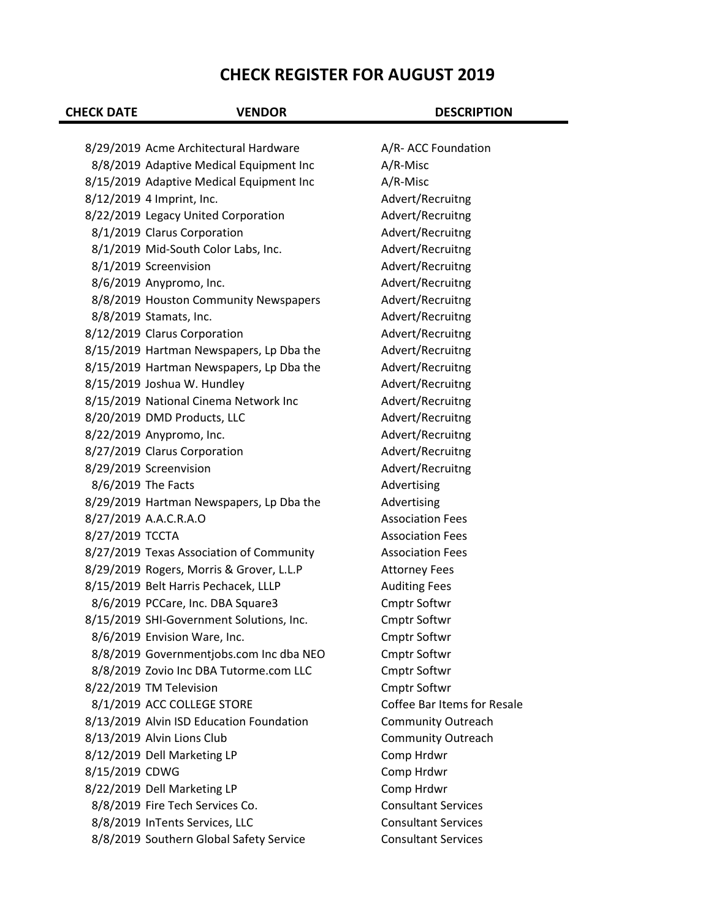## **CHECK REGISTER FOR AUGUST 2019**

| <b>CHECK DATE</b> | <b>VENDOR</b>                            | <b>DESCRIPTION</b>          |
|-------------------|------------------------------------------|-----------------------------|
|                   |                                          |                             |
|                   | 8/29/2019 Acme Architectural Hardware    | A/R-ACC Foundation          |
|                   | 8/8/2019 Adaptive Medical Equipment Inc  | A/R-Misc                    |
|                   | 8/15/2019 Adaptive Medical Equipment Inc | A/R-Misc                    |
|                   | 8/12/2019 4 Imprint, Inc.                | Advert/Recruitng            |
|                   | 8/22/2019 Legacy United Corporation      | Advert/Recruitng            |
|                   | 8/1/2019 Clarus Corporation              | Advert/Recruitng            |
|                   | 8/1/2019 Mid-South Color Labs, Inc.      | Advert/Recruitng            |
|                   | 8/1/2019 Screenvision                    | Advert/Recruitng            |
|                   | 8/6/2019 Anypromo, Inc.                  | Advert/Recruitng            |
|                   | 8/8/2019 Houston Community Newspapers    | Advert/Recruitng            |
|                   | 8/8/2019 Stamats, Inc.                   | Advert/Recruitng            |
|                   | 8/12/2019 Clarus Corporation             | Advert/Recruitng            |
|                   | 8/15/2019 Hartman Newspapers, Lp Dba the | Advert/Recruitng            |
|                   | 8/15/2019 Hartman Newspapers, Lp Dba the | Advert/Recruitng            |
|                   | 8/15/2019 Joshua W. Hundley              | Advert/Recruitng            |
|                   | 8/15/2019 National Cinema Network Inc    | Advert/Recruitng            |
|                   | 8/20/2019 DMD Products, LLC              | Advert/Recruitng            |
|                   | 8/22/2019 Anypromo, Inc.                 | Advert/Recruitng            |
|                   | 8/27/2019 Clarus Corporation             | Advert/Recruitng            |
|                   | 8/29/2019 Screenvision                   | Advert/Recruitng            |
|                   | 8/6/2019 The Facts                       | Advertising                 |
|                   | 8/29/2019 Hartman Newspapers, Lp Dba the | Advertising                 |
|                   | 8/27/2019 A.A.C.R.A.O                    | <b>Association Fees</b>     |
| 8/27/2019 TCCTA   |                                          | <b>Association Fees</b>     |
|                   | 8/27/2019 Texas Association of Community | <b>Association Fees</b>     |
|                   | 8/29/2019 Rogers, Morris & Grover, L.L.P | <b>Attorney Fees</b>        |
|                   | 8/15/2019 Belt Harris Pechacek, LLLP     | <b>Auditing Fees</b>        |
|                   | 8/6/2019 PCCare, Inc. DBA Square3        | Cmptr Softwr                |
|                   | 8/15/2019 SHI-Government Solutions, Inc. | <b>Cmptr Softwr</b>         |
|                   | 8/6/2019 Envision Ware, Inc.             | <b>Cmptr Softwr</b>         |
|                   | 8/8/2019 Governmentjobs.com Inc dba NEO  | <b>Cmptr Softwr</b>         |
|                   | 8/8/2019 Zovio Inc DBA Tutorme.com LLC   | Cmptr Softwr                |
|                   | 8/22/2019 TM Television                  | <b>Cmptr Softwr</b>         |
|                   | 8/1/2019 ACC COLLEGE STORE               | Coffee Bar Items for Resale |
|                   | 8/13/2019 Alvin ISD Education Foundation | <b>Community Outreach</b>   |
|                   | 8/13/2019 Alvin Lions Club               | <b>Community Outreach</b>   |
|                   | 8/12/2019 Dell Marketing LP              | Comp Hrdwr                  |
| 8/15/2019 CDWG    |                                          | Comp Hrdwr                  |
|                   | 8/22/2019 Dell Marketing LP              | Comp Hrdwr                  |
|                   | 8/8/2019 Fire Tech Services Co.          | <b>Consultant Services</b>  |
|                   | 8/8/2019 InTents Services, LLC           | <b>Consultant Services</b>  |
|                   | 8/8/2019 Southern Global Safety Service  | <b>Consultant Services</b>  |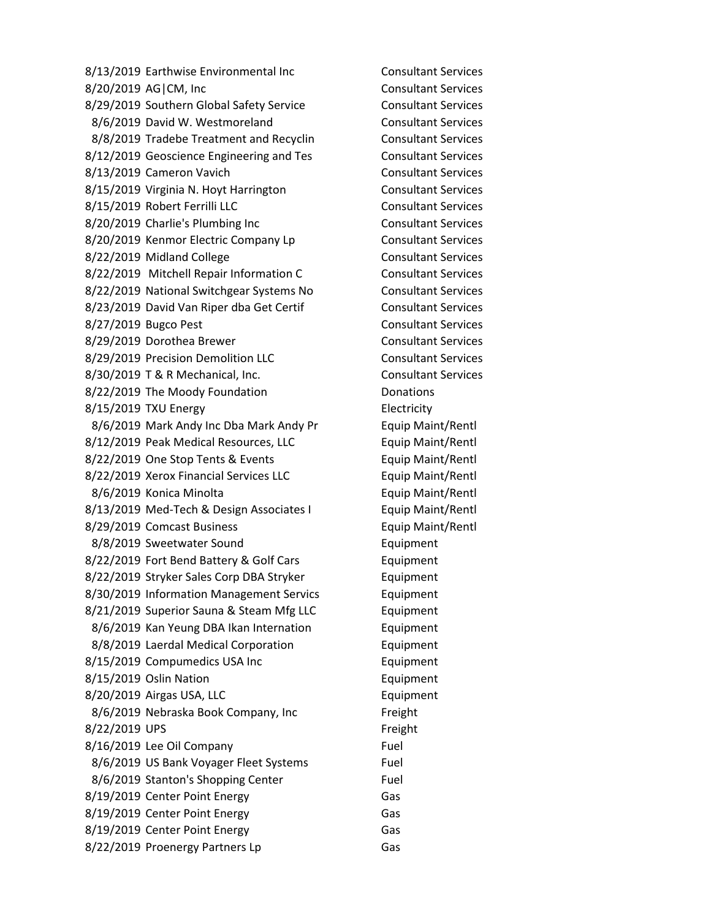8/13/2019 Earthwise Environmental Inc Consultant Services 8/20/2019 AG|CM, Inc Consultant Services 8/29/2019 Southern Global Safety Service Consultant Services 8/6/2019 David W. Westmoreland Consultant Services 8/8/2019 Tradebe Treatment and Recyclin Consultant Services 8/12/2019 Geoscience Engineering and Tes Consultant Services 8/13/2019 Cameron Vavich Consultant Services 8/15/2019 Virginia N. Hoyt Harrington Consultant Services 8/15/2019 Robert Ferrilli LLC Consultant Services 8/20/2019 Charlie's Plumbing Inc Consultant Services 8/20/2019 Kenmor Electric Company Lp Consultant Services 8/22/2019 Midland College Consultant Services 8/22/2019 Mitchell Repair Information C Consultant Services 8/22/2019 National Switchgear Systems No Consultant Services 8/23/2019 David Van Riper dba Get Certif Consultant Services 8/27/2019 Bugco Pest Consultant Services 8/29/2019 Dorothea Brewer Consultant Services 8/29/2019 Precision Demolition LLC Consultant Services 8/30/2019 T & R Mechanical, Inc. Consultant Services 8/22/2019 The Moody Foundation Donations 8/15/2019 TXU Energy Electricity 8/6/2019 Mark Andy Inc Dba Mark Andy Pr Equip Maint/Rentl 8/12/2019 Peak Medical Resources, LLC Equip Maint/Rentl 8/22/2019 One Stop Tents & Events **Example 20 Figure Maint/Rentl** 8/22/2019 Xerox Financial Services LLC Equip Maint/Rentl 8/6/2019 Konica Minolta Equip Maint/Rentl 8/13/2019 Med-Tech & Design Associates I Equip Maint/Rentl 8/29/2019 Comcast Business **Equip Maint/Rentl** 8/8/2019 Sweetwater Sound Equipment 8/22/2019 Fort Bend Battery & Golf Cars Equipment 8/22/2019 Stryker Sales Corp DBA Stryker Equipment 8/30/2019 Information Management Servics Equipment 8/21/2019 Superior Sauna & Steam Mfg LLC Equipment 8/6/2019 Kan Yeung DBA Ikan Internation Equipment 8/8/2019 Laerdal Medical Corporation Equipment 8/15/2019 Compumedics USA Inc **Equipment** 8/15/2019 Oslin Nation **Equipment** 8/20/2019 Airgas USA, LLC **Equipment** 8/6/2019 Nebraska Book Company, Inc Freight 8/22/2019 UPS Freight 8/16/2019 Lee Oil Company Fuel 8/6/2019 US Bank Voyager Fleet Systems Fuel 8/6/2019 Stanton's Shopping Center Fuel 8/19/2019 Center Point Energy Gas 8/19/2019 Center Point Energy Gas 8/19/2019 Center Point Energy Gas 8/22/2019 Proenergy Partners Lp Gas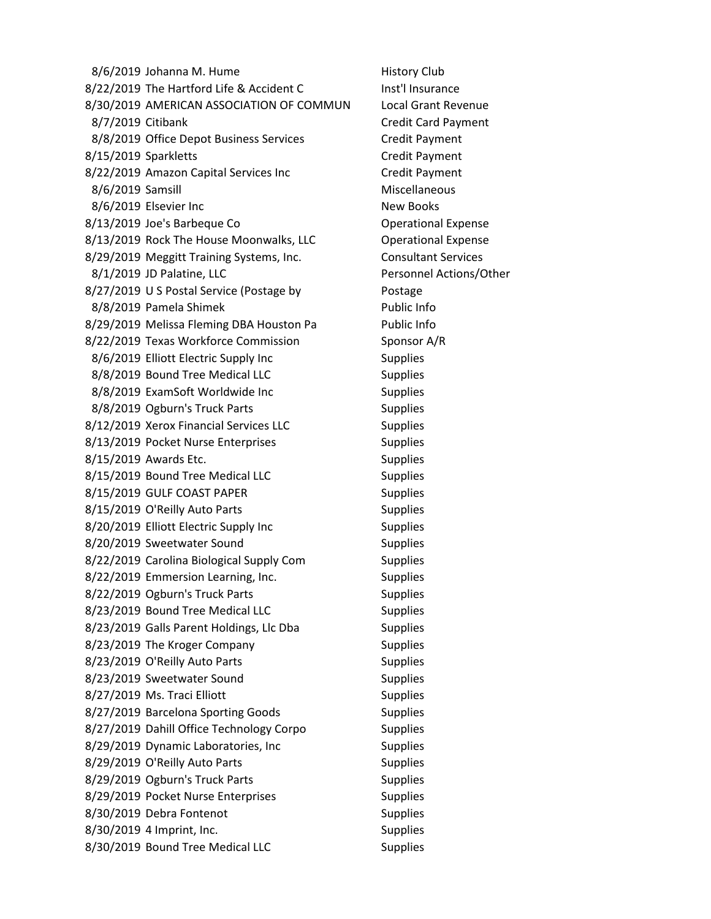8/6/2019 Johanna M. Hume History Club 8/22/2019 The Hartford Life & Accident C Inst'l Insurance 8/30/2019 AMERICAN ASSOCIATION OF COMMUN Local Grant Revenue 8/7/2019 Citibank Credit Card Payment 8/8/2019 Office Depot Business Services Credit Payment 8/15/2019 Sparkletts Credit Payment 8/22/2019 Amazon Capital Services Inc **Canada Credit Payment** 8/6/2019 Samsill Miscellaneous 8/6/2019 Elsevier Inc New Books 8/13/2019 Joe's Barbeque Co **Communist Contract Contract Contract Contract Contract Contract Contract Contract Contract Contract Contract Contract Contract Contract Contract Contract Contract Contract Contract Contract Con** 8/13/2019 Rock The House Moonwalks, LLC Qperational Expense 8/29/2019 Meggitt Training Systems, Inc. Consultant Services 8/1/2019 JD Palatine, LLC **Personnel Actions/Other** 8/27/2019 U S Postal Service (Postage by Postage 8/8/2019 Pamela Shimek Public Info 8/29/2019 Melissa Fleming DBA Houston Pa Public Info 8/22/2019 Texas Workforce Commission Sponsor A/R 8/6/2019 Elliott Electric Supply Inc Supplies 8/8/2019 Bound Tree Medical LLC Supplies 8/8/2019 ExamSoft Worldwide Inc Supplies 8/8/2019 Ogburn's Truck Parts Supplies 8/12/2019 Xerox Financial Services LLC Supplies 8/13/2019 Pocket Nurse Enterprises Supplies 8/15/2019 Awards Etc. Supplies 8/15/2019 Bound Tree Medical LLC Supplies 8/15/2019 GULF COAST PAPER Supplies 8/15/2019 O'Reilly Auto Parts Supplies 8/20/2019 Elliott Electric Supply Inc Supplies 8/20/2019 Sweetwater Sound Supplies 8/22/2019 Carolina Biological Supply Com Supplies 8/22/2019 Emmersion Learning, Inc. Supplies 8/22/2019 Ogburn's Truck Parts Supplies 8/23/2019 Bound Tree Medical LLC Supplies 8/23/2019 Galls Parent Holdings, Llc Dba Supplies 8/23/2019 The Kroger Company Supplies 8/23/2019 O'Reilly Auto Parts Supplies 8/23/2019 Sweetwater Sound Supplies 8/27/2019 Ms. Traci Elliott Supplies 8/27/2019 Barcelona Sporting Goods Supplies 8/27/2019 Dahill Office Technology Corpo Supplies 8/29/2019 Dynamic Laboratories, Inc Supplies 8/29/2019 O'Reilly Auto Parts Supplies 8/29/2019 Ogburn's Truck Parts Supplies 8/29/2019 Pocket Nurse Enterprises Supplies 8/30/2019 Debra Fontenot Supplies 8/30/2019 4 Imprint, Inc. Supplies 8/30/2019 Bound Tree Medical LLC Supplies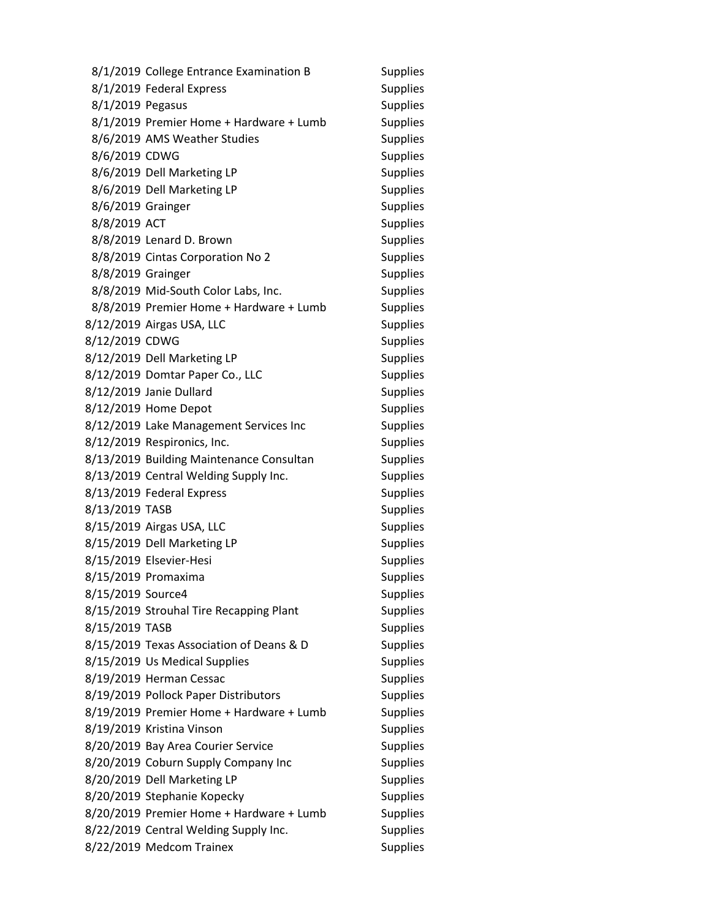|                   | 8/1/2019 College Entrance Examination B  | <b>Supplies</b> |
|-------------------|------------------------------------------|-----------------|
|                   | 8/1/2019 Federal Express                 | <b>Supplies</b> |
| 8/1/2019 Pegasus  |                                          | <b>Supplies</b> |
|                   | 8/1/2019 Premier Home + Hardware + Lumb  | <b>Supplies</b> |
|                   | 8/6/2019 AMS Weather Studies             | Supplies        |
| 8/6/2019 CDWG     |                                          | <b>Supplies</b> |
|                   | 8/6/2019 Dell Marketing LP               | <b>Supplies</b> |
|                   | 8/6/2019 Dell Marketing LP               | <b>Supplies</b> |
| 8/6/2019 Grainger |                                          | <b>Supplies</b> |
| 8/8/2019 ACT      |                                          | <b>Supplies</b> |
|                   | 8/8/2019 Lenard D. Brown                 | <b>Supplies</b> |
|                   | 8/8/2019 Cintas Corporation No 2         | <b>Supplies</b> |
| 8/8/2019 Grainger |                                          | <b>Supplies</b> |
|                   | 8/8/2019 Mid-South Color Labs, Inc.      | <b>Supplies</b> |
|                   | 8/8/2019 Premier Home + Hardware + Lumb  | <b>Supplies</b> |
|                   | 8/12/2019 Airgas USA, LLC                | <b>Supplies</b> |
| 8/12/2019 CDWG    |                                          | <b>Supplies</b> |
|                   | 8/12/2019 Dell Marketing LP              | <b>Supplies</b> |
|                   | 8/12/2019 Domtar Paper Co., LLC          | <b>Supplies</b> |
|                   | 8/12/2019 Janie Dullard                  | <b>Supplies</b> |
|                   | 8/12/2019 Home Depot                     | <b>Supplies</b> |
|                   | 8/12/2019 Lake Management Services Inc   | <b>Supplies</b> |
|                   | 8/12/2019 Respironics, Inc.              | <b>Supplies</b> |
|                   | 8/13/2019 Building Maintenance Consultan | <b>Supplies</b> |
|                   | 8/13/2019 Central Welding Supply Inc.    | <b>Supplies</b> |
|                   | 8/13/2019 Federal Express                | <b>Supplies</b> |
| 8/13/2019 TASB    |                                          | <b>Supplies</b> |
|                   | 8/15/2019 Airgas USA, LLC                | <b>Supplies</b> |
|                   | 8/15/2019 Dell Marketing LP              | <b>Supplies</b> |
|                   | 8/15/2019 Elsevier-Hesi                  | <b>Supplies</b> |
|                   | 8/15/2019 Promaxima                      | <b>Supplies</b> |
| 8/15/2019 Source4 |                                          | <b>Supplies</b> |
|                   | 8/15/2019 Strouhal Tire Recapping Plant  | <b>Supplies</b> |
| 8/15/2019 TASB    |                                          | <b>Supplies</b> |
|                   | 8/15/2019 Texas Association of Deans & D | <b>Supplies</b> |
|                   | 8/15/2019 Us Medical Supplies            | <b>Supplies</b> |
|                   | 8/19/2019 Herman Cessac                  | <b>Supplies</b> |
|                   | 8/19/2019 Pollock Paper Distributors     | <b>Supplies</b> |
|                   | 8/19/2019 Premier Home + Hardware + Lumb | <b>Supplies</b> |
|                   | 8/19/2019 Kristina Vinson                | <b>Supplies</b> |
|                   | 8/20/2019 Bay Area Courier Service       | <b>Supplies</b> |
|                   | 8/20/2019 Coburn Supply Company Inc      | <b>Supplies</b> |
|                   | 8/20/2019 Dell Marketing LP              | <b>Supplies</b> |
|                   | 8/20/2019 Stephanie Kopecky              | <b>Supplies</b> |
|                   | 8/20/2019 Premier Home + Hardware + Lumb | <b>Supplies</b> |
|                   | 8/22/2019 Central Welding Supply Inc.    | <b>Supplies</b> |
|                   | 8/22/2019 Medcom Trainex                 | Supplies        |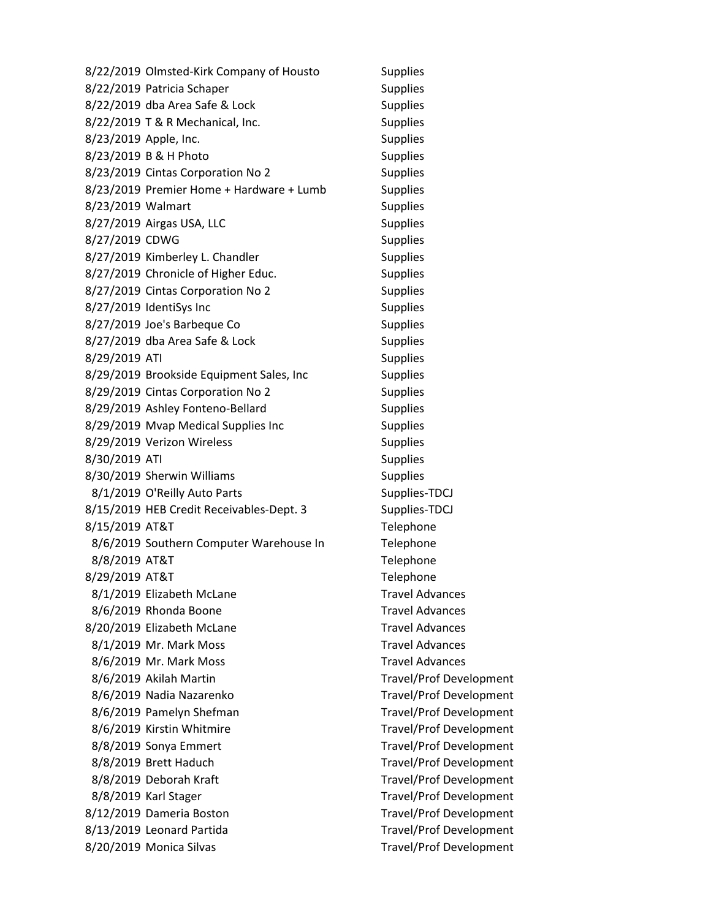8/22/2019 Olmsted-Kirk Company of Housto Supplies 8/22/2019 Patricia Schaper Supplies 8/22/2019 dba Area Safe & Lock Supplies 8/22/2019 T & R Mechanical, Inc. Supplies 8/23/2019 Apple, Inc. Supplies 8/23/2019 B & H Photo Supplies 8/23/2019 Cintas Corporation No 2 Supplies 8/23/2019 Premier Home + Hardware + Lumb Supplies 8/23/2019 Walmart Supplies 8/27/2019 Airgas USA, LLC Supplies 8/27/2019 CDWG Supplies 8/27/2019 Kimberley L. Chandler Supplies 8/27/2019 Chronicle of Higher Educ. Supplies 8/27/2019 Cintas Corporation No 2 Supplies 8/27/2019 IdentiSys Inc Supplies 8/27/2019 Joe's Barbeque Co Supplies 8/27/2019 dba Area Safe & Lock Supplies 8/29/2019 ATI Supplies 8/29/2019 Brookside Equipment Sales, Inc Supplies 8/29/2019 Cintas Corporation No 2 Supplies 8/29/2019 Ashley Fonteno-Bellard Supplies 8/29/2019 Mvap Medical Supplies Inc Supplies 8/29/2019 Verizon Wireless Supplies 8/30/2019 ATI Supplies 8/30/2019 Sherwin Williams Supplies 8/1/2019 O'Reilly Auto Parts Supplies-TDCJ 8/15/2019 HEB Credit Receivables-Dept. 3 Supplies-TDCJ 8/15/2019 AT&T Telephone 8/6/2019 Southern Computer Warehouse In Telephone 8/8/2019 AT&T Telephone 8/29/2019 AT&T Telephone 8/1/2019 Elizabeth McLane Travel Advances 8/6/2019 Rhonda Boone Travel Advances 8/20/2019 Elizabeth McLane Travel Advances 8/1/2019 Mr. Mark Moss Travel Advances 8/6/2019 Mr. Mark Moss The Mark Moss State Mark Travel Advances 8/6/2019 Akilah Martin Travel/Prof Development 8/6/2019 Nadia Nazarenko Travel/Prof Development 8/6/2019 Pamelyn Shefman Travel/Prof Development 8/6/2019 Kirstin Whitmire Travel/Prof Development 8/8/2019 Sonya Emmert Travel/Prof Development 8/8/2019 Brett Haduch Travel/Prof Development 8/8/2019 Deborah Kraft Travel/Prof Development 8/8/2019 Karl Stager Travel/Prof Development 8/12/2019 Dameria Boston **Travel/Prof Development** 8/13/2019 Leonard Partida Travel/Prof Development 8/20/2019 Monica Silvas Mateural Assemblance Travel/Prof Development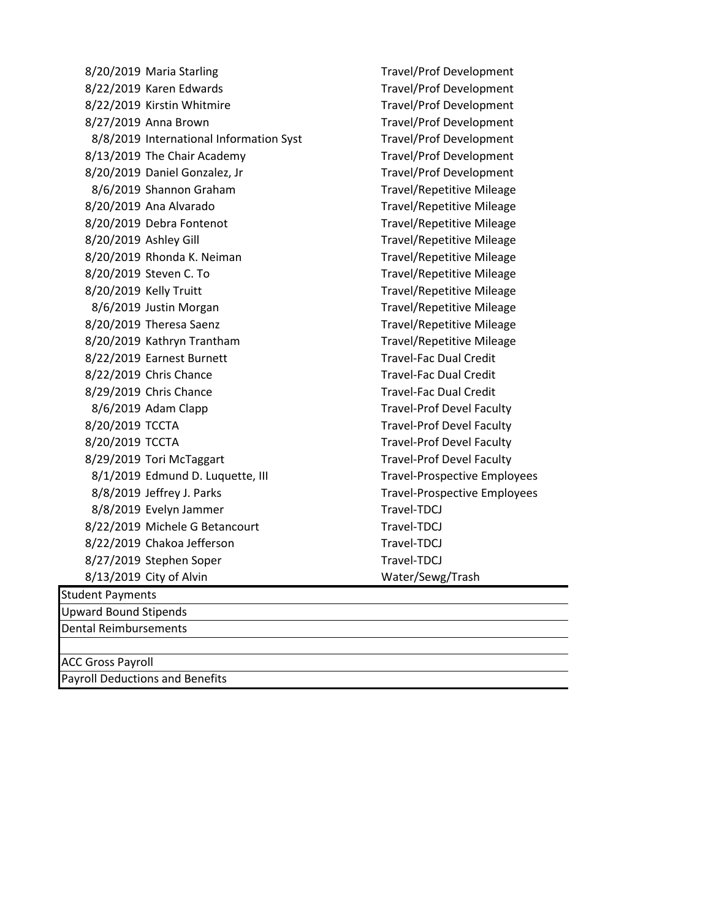8/20/2019 Maria Starling Travel/Prof Development 8/22/2019 Karen Edwards Travel/Prof Development 8/22/2019 Kirstin Whitmire Travel/Prof Development 8/27/2019 Anna Brown Travel/Prof Development 8/8/2019 International Information Syst Travel/Prof Development 8/13/2019 The Chair Academy Travel/Prof Development 8/20/2019 Daniel Gonzalez, Jr Travel/Prof Development 8/6/2019 Shannon Graham Travel/Repetitive Mileage 8/20/2019 Ana Alvarado **Travel/Repetitive Mileage** 8/20/2019 Debra Fontenot Travel/Repetitive Mileage 8/20/2019 Ashley Gill Travel/Repetitive Mileage 8/20/2019 Rhonda K. Neiman Travel/Repetitive Mileage 8/20/2019 Steven C. To Sandwich Mileage Travel/Repetitive Mileage 8/20/2019 Kelly Truitt Travel/Repetitive Mileage 8/6/2019 Justin Morgan Travel/Repetitive Mileage 8/20/2019 Theresa Saenz Travel/Repetitive Mileage 8/20/2019 Kathryn Trantham Travel/Repetitive Mileage 8/22/2019 Earnest Burnett Travel-Fac Dual Credit 8/22/2019 Chris Chance Travel-Fac Dual Credit 8/29/2019 Chris Chance Travel-Fac Dual Credit 8/6/2019 Adam Clapp Travel-Prof Devel Faculty 8/20/2019 TCCTA Travel-Prof Devel Faculty 8/20/2019 TCCTA Travel-Prof Devel Faculty 8/29/2019 Tori McTaggart Travel-Prof Devel Faculty 8/1/2019 Edmund D. Luquette, III Travel-Prospective Employees 8/8/2019 Jeffrey J. Parks Travel-Prospective Employees 8/8/2019 Evelyn Jammer Travel-TDCJ 8/22/2019 Michele G Betancourt Travel-TDCJ 8/22/2019 Chakoa Jefferson Travel-TDCJ 8/27/2019 Stephen Soper Travel-TDCJ 8/13/2019 City of Alvin Water/Sewg/Trash

Student Payments

Upward Bound Stipends

Dental Reimbursements

ACC Gross Payroll

Payroll Deductions and Benefits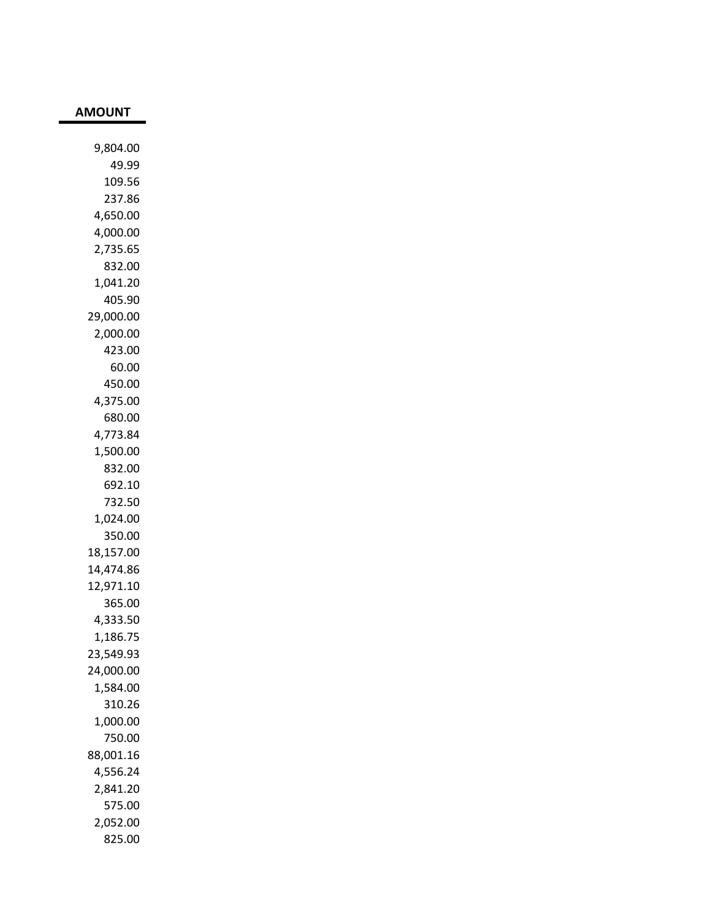| 9,804.00  |
|-----------|
| 49.99     |
| 109.56    |
| 237.86    |
| 4,650.00  |
| 4,000.00  |
| 2,735.65  |
| 832.00    |
| 1,041.20  |
| 405.90    |
| 29,000.00 |
| 2,000.00  |
| 423.00    |
| 60.00     |
| 450.00    |
| 4,375.00  |
| 680.00    |
| 4,773.84  |
| 1,500.00  |
| 832.00    |
| 692.10    |
| 732.50    |
| 1,024.00  |
| 350.00    |
| 18,157.00 |
| 14,474.86 |
| 12,971.10 |
| 365.00    |
| 4,333.50  |
| 1,186.75  |
| 23,549.93 |
| 24,000.00 |
| 1,584.00  |
| 310.26    |
| 1,000.00  |
| 750.00    |
| 88,001.16 |
| 4,556.24  |
| 2,841.20  |
| 575.00    |
| 2,052.00  |
| 825.00    |

**AMOUNT**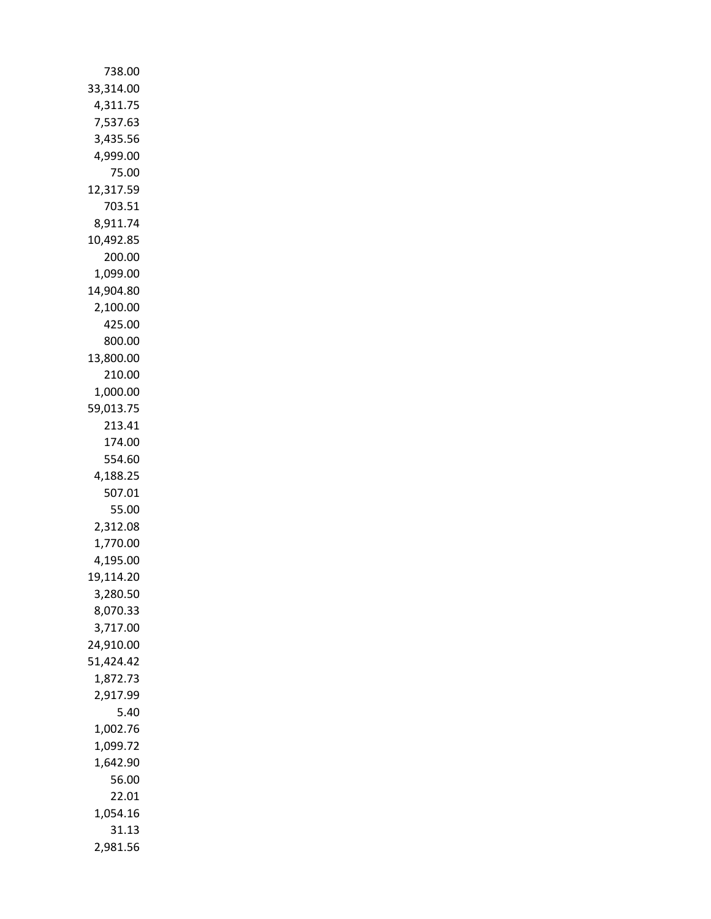| 738.00                |
|-----------------------|
| 33,314.00             |
| 4,311.75              |
| 7,537.63              |
| 3,435.56              |
| 4,999.00              |
| 75.00                 |
| 12,317.59             |
| 703.51                |
| 8,911.74              |
| 10,492.85             |
| 200.00                |
| 1,099.00<br>14,904.80 |
| 2,100.00              |
| 425.00                |
| 800.00                |
| 13,800.00             |
| 210.00                |
| 1,000.00              |
| 59,013.75             |
| 213.41                |
| 174.00                |
| 554.60                |
| 4,188.25              |
| 507.01                |
| 55.00                 |
| 2,312.08              |
| 1,770.00              |
| 4,195.00              |
| 19,114.20<br>3,280.50 |
| 8,070.33              |
| 3,717.00              |
| 24,910.00             |
| 51,424.42             |
| 1,872.73              |
| 2,917.99              |
| 5.40                  |
| 1,002.76              |
| 1,099.72              |
| 1,642.90              |
| 56.00                 |
| 22.01                 |
| 1,054.16              |
| 31.13                 |
| 2,981.56              |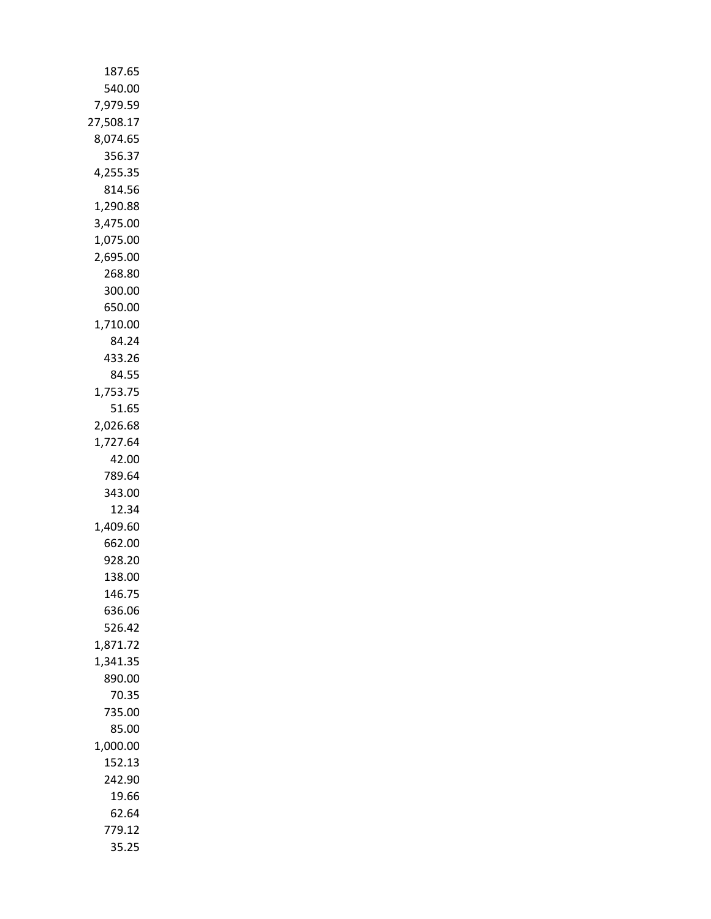| 187.65               |
|----------------------|
| 540.00               |
| 7,979.59             |
| 27,508.17            |
| 8,074.65             |
| 356.37               |
| 4,255.35             |
| 814.56               |
| 1,290.88<br>3,475.00 |
| 1,075.00             |
| 2,695.00             |
| 268.80               |
| 300.00               |
| 650.00               |
| 1,710.00             |
| 84.24                |
| 433.26               |
| 84.55                |
| 1,753.75             |
| 51.65                |
| 2,026.68             |
| 1,727.64             |
| 42.00                |
| 789.64<br>343.00     |
| 12.34                |
| 1,409.60             |
| 662.00               |
| 928.20               |
| 138.00               |
| 146.75               |
| 636.06               |
| 526.42               |
| 1,871.72             |
| 1,341.35             |
| 890.00               |
| 70.35<br>735.00      |
| 85.00                |
| 1,000.00             |
| 152.13               |
| 242.90               |
| 19.66                |
| 62.64                |
| 779.12               |
| 35.25                |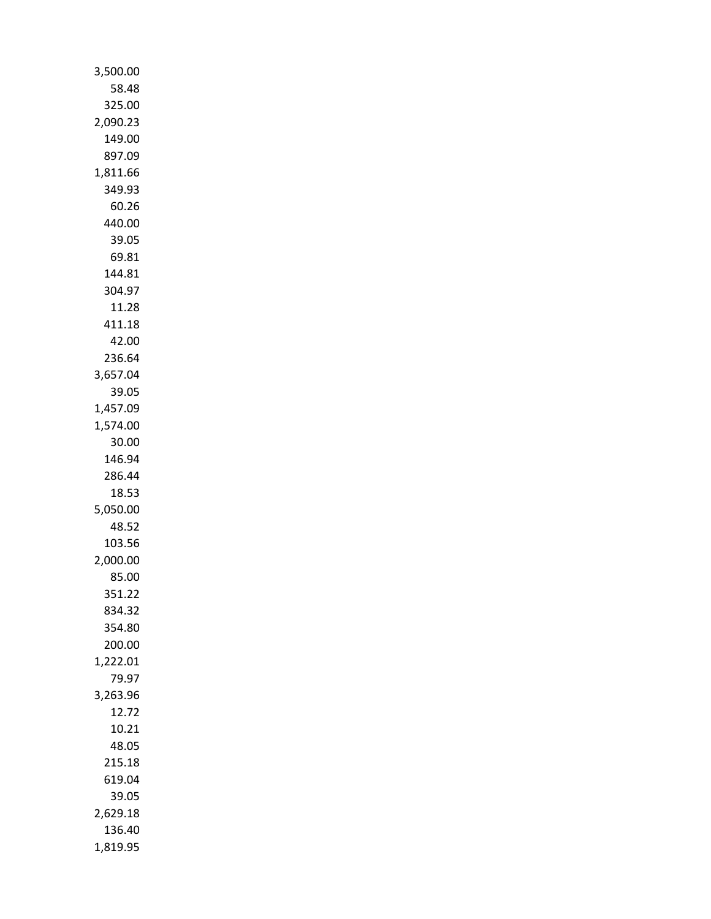| 3,500.00 |
|----------|
| 58.48    |
| 325.00   |
|          |
| 2,090.23 |
| 149.00   |
| 897.09   |
| 1,811.66 |
| 349.93   |
|          |
| 60.26    |
| 440.00   |
| 39.05    |
|          |
| 69.81    |
| 144.81   |
| 304.97   |
| 11.28    |
| 411.18   |
|          |
| 42.00    |
| 236.64   |
| 3,657.04 |
| 39.05    |
|          |
| 1,457.09 |
| 1,574.00 |
| 30.00    |
| 146.94   |
|          |
| 286.44   |
| 18.53    |
| 5,050.00 |
| 48.52    |
|          |
| 103.56   |
| 2,000.00 |
| 85.00    |
| 351.22   |
|          |
| 834.32   |
| 354.80   |
| 200.00   |
| 1,222.01 |
| 79.97    |
|          |
| 3,263.96 |
| 12.72    |
| 10.21    |
| 48.05    |
|          |
| 215.18   |
| 619.04   |
| 39.05    |
| 2,629.18 |
|          |
| 136.40   |
| 1,819.95 |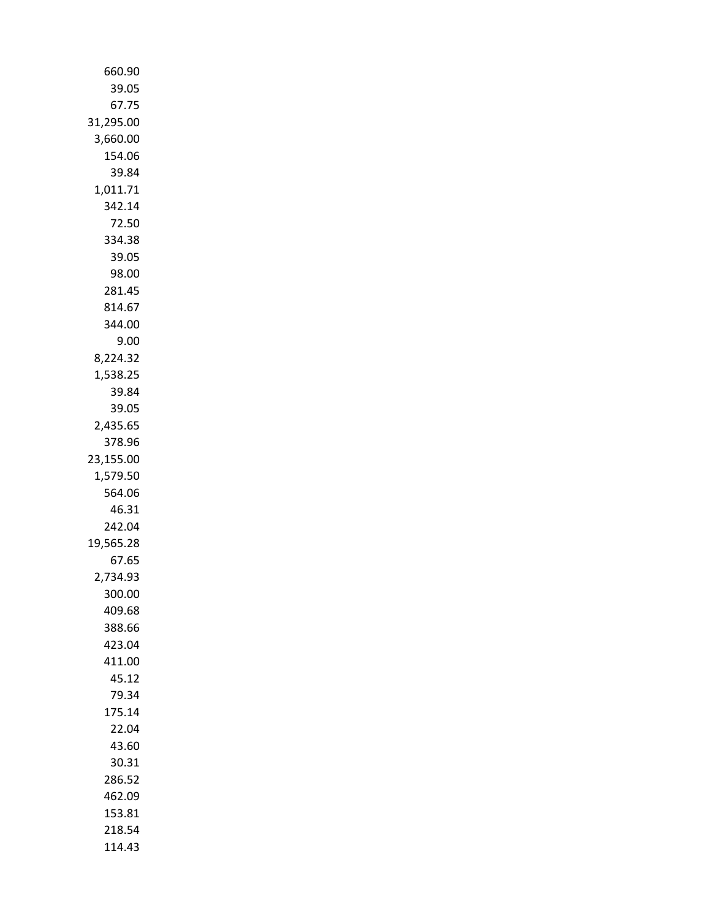| 660.90             |
|--------------------|
| 39.05              |
| 67.75              |
| 31,295.00          |
| 3,660.00           |
| 154.06             |
| 39.84              |
| 1,011.71           |
| 342.14             |
| 72.50              |
| 334.38             |
| 39.05<br>98.00     |
| 281.45             |
| 814.67             |
| 344.00             |
| 9.00               |
| 8,224.32           |
| 1,538.25           |
| 39.84              |
| 39.05              |
| 2,435.65           |
| 378.96             |
| 23,155.00          |
| 1,579.50           |
| 564.06             |
| 46.31              |
| 242.04             |
| 19,565.28<br>67.65 |
| 2,734.93           |
| 300.00             |
| 409.68             |
| 388.66             |
| 423.04             |
| 411.00             |
| 45.12              |
| 79.34              |
| 175.14             |
| 22.04              |
| 43.60              |
| 30.31              |
| 286.52             |
| 462.09             |
| 153.81             |
| 218.54             |
| 114.43             |